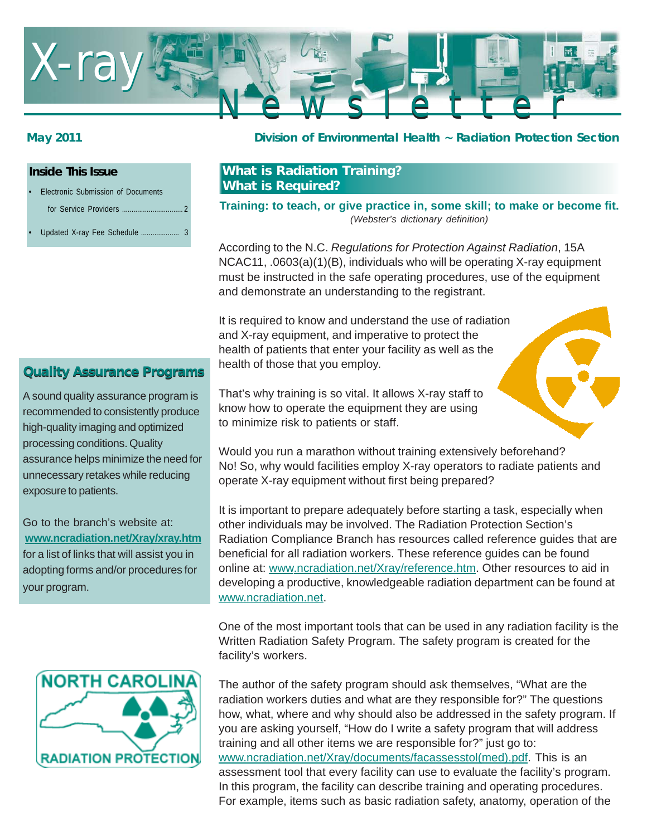

#### **Inside This Issue**

- Electronic Submission of Documents
	- for Service Providers ................
- Updated X-ray Fee Schedule ......

### **May 2011 Division of Environmental Health ~ Radiation Protection Section**

## **What is Radiation Training? What is Required?**

**Training: to teach, or give practice in, some skill; to make or become fit.** *(Webster's dictionary definition)*

According to the N.C. *Regulations for Protection Against Radiation*, 15A NCAC11, .0603(a)(1)(B), individuals who will be operating X-ray equipment must be instructed in the safe operating procedures, use of the equipment and demonstrate an understanding to the registrant.

It is required to know and understand the use of radiation and X-ray equipment, and imperative to protect the health of patients that enter your facility as well as the health of those that you employ.



A sound quality assurance program is recommended to consistently produce high-quality imaging and optimized processing conditions. Quality assurance helps minimize the need for unnecessary retakes while reducing exposure to patients.

Go to the branch's website at: **www.ncradiation.net/Xray/xray.htm** for a list of links that will assist you in adopting forms and/or procedures for your program.



That's why training is so vital. It allows X-ray staff to know how to operate the equipment they are using to minimize risk to patients or staff.

Would you run a marathon without training extensively beforehand? No! So, why would facilities employ X-ray operators to radiate patients and operate X-ray equipment without first being prepared?

It is important to prepare adequately before starting a task, especially when other individuals may be involved. The Radiation Protection Section's Radiation Compliance Branch has resources called reference guides that are beneficial for all radiation workers. These reference guides can be found online at: www.ncradiation.net/Xray/reference.htm. Other resources to aid in developing a productive, knowledgeable radiation department can be found at www.ncradiation.net.

One of the most important tools that can be used in any radiation facility is the Written Radiation Safety Program. The safety program is created for the facility's workers.

The author of the safety program should ask themselves, "What are the radiation workers duties and what are they responsible for?" The questions how, what, where and why should also be addressed in the safety program. If you are asking yourself, "How do I write a safety program that will address training and all other items we are responsible for?" just go to: www.ncradiation.net/Xray/documents/facassesstol(med).pdf. This is an assessment tool that every facility can use to evaluate the facility's program. In this program, the facility can describe training and operating procedures. For example, items such as basic radiation safety, anatomy, operation of the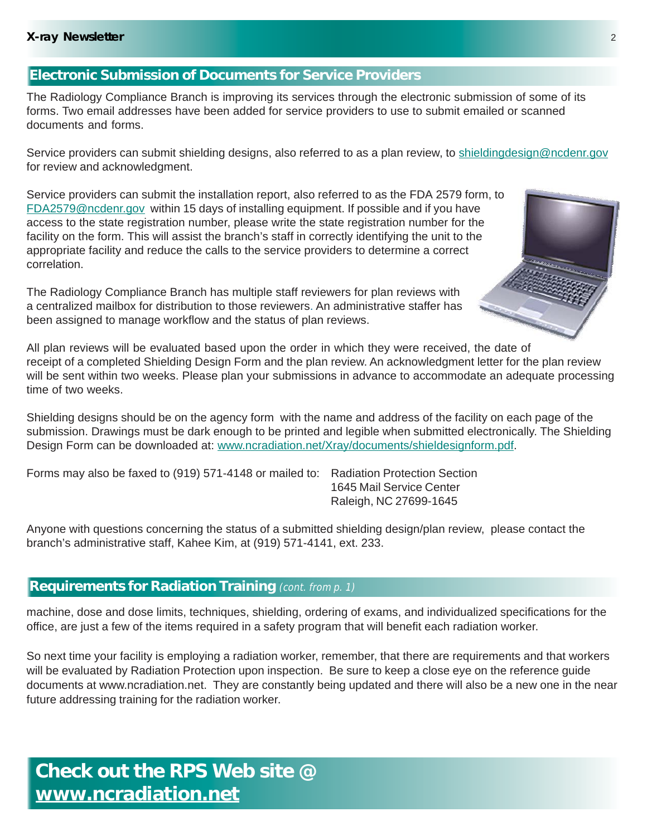## **Electronic Submission of Documents for Service Providers**

The Radiology Compliance Branch is improving its services through the electronic submission of some of its forms. Two email addresses have been added for service providers to use to submit emailed or scanned documents and forms.

Service providers can submit shielding designs, also referred to as a plan review, to shieldingdesign@ncdenr.gov for review and acknowledgment.

Service providers can submit the installation report, also referred to as the FDA 2579 form, to FDA2579@ncdenr.gov within 15 days of installing equipment. If possible and if you have access to the state registration number, please write the state registration number for the facility on the form. This will assist the branch's staff in correctly identifying the unit to the appropriate facility and reduce the calls to the service providers to determine a correct correlation.

The Radiology Compliance Branch has multiple staff reviewers for plan reviews with a centralized mailbox for distribution to those reviewers. An administrative staffer has been assigned to manage workflow and the status of plan reviews.

All plan reviews will be evaluated based upon the order in which they were received, the date of receipt of a completed Shielding Design Form and the plan review. An acknowledgment letter for the plan review will be sent within two weeks. Please plan your submissions in advance to accommodate an adequate processing time of two weeks.

Shielding designs should be on the agency form with the name and address of the facility on each page of the submission. Drawings must be dark enough to be printed and legible when submitted electronically. The Shielding Design Form can be downloaded at: www.ncradiation.net/Xray/documents/shieldesignform.pdf.

Forms may also be faxed to (919) 571-4148 or mailed to: Radiation Protection Section

1645 Mail Service Center Raleigh, NC 27699-1645

Anyone with questions concerning the status of a submitted shielding design/plan review, please contact the branch's administrative staff, Kahee Kim, at (919) 571-4141, ext. 233.

# **Requirements for Radiation Training** (cont. from p. 1)

machine, dose and dose limits, techniques, shielding, ordering of exams, and individualized specifications for the office, are just a few of the items required in a safety program that will benefit each radiation worker.

So next time your facility is employing a radiation worker, remember, that there are requirements and that workers will be evaluated by Radiation Protection upon inspection. Be sure to keep a close eye on the reference guide documents at www.ncradiation.net. They are constantly being updated and there will also be a new one in the near future addressing training for the radiation worker.

**Check out the RPS Web site @ www.ncradiation.net**

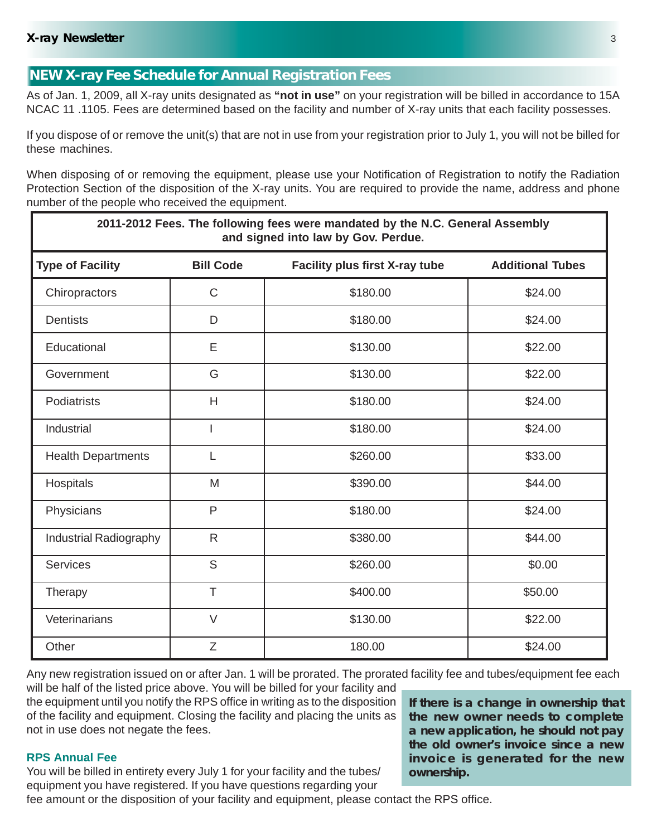## **NEW X-ray Fee Schedule for Annual Registration Fees**

As of Jan. 1, 2009, all X-ray units designated as **"not in use"** on your registration will be billed in accordance to 15A NCAC 11 .1105. Fees are determined based on the facility and number of X-ray units that each facility possesses.

If you dispose of or remove the unit(s) that are not in use from your registration prior to July 1, you will not be billed for these machines.

When disposing of or removing the equipment, please use your Notification of Registration to notify the Radiation Protection Section of the disposition of the X-ray units. You are required to provide the name, address and phone number of the people who received the equipment.

| 2011-2012 Fees. The following fees were mandated by the N.C. General Assembly<br>and signed into law by Gov. Perdue. |                  |                                |                         |
|----------------------------------------------------------------------------------------------------------------------|------------------|--------------------------------|-------------------------|
| <b>Type of Facility</b>                                                                                              | <b>Bill Code</b> | Facility plus first X-ray tube | <b>Additional Tubes</b> |
| Chiropractors                                                                                                        | $\mathsf{C}$     | \$180.00                       | \$24.00                 |
| <b>Dentists</b>                                                                                                      | D                | \$180.00                       | \$24.00                 |
| Educational                                                                                                          | E                | \$130.00                       | \$22.00                 |
| Government                                                                                                           | G                | \$130.00                       | \$22.00                 |
| Podiatrists                                                                                                          | H                | \$180.00                       | \$24.00                 |
| Industrial                                                                                                           | $\overline{1}$   | \$180.00                       | \$24.00                 |
| <b>Health Departments</b>                                                                                            | L                | \$260.00                       | \$33.00                 |
| Hospitals                                                                                                            | M                | \$390.00                       | \$44.00                 |
| Physicians                                                                                                           | $\mathsf{P}$     | \$180.00                       | \$24.00                 |
| Industrial Radiography                                                                                               | $\mathsf{R}$     | \$380.00                       | \$44.00                 |
| <b>Services</b>                                                                                                      | S                | \$260.00                       | \$0.00                  |
| Therapy                                                                                                              | T                | \$400.00                       | \$50.00                 |
| Veterinarians                                                                                                        | $\vee$           | \$130.00                       | \$22.00                 |
| Other                                                                                                                | Z                | 180.00                         | \$24.00                 |

Any new registration issued on or after Jan. 1 will be prorated. The prorated facility fee and tubes/equipment fee each will be half of the listed price above. You will be billed for your facility and

the equipment until you notify the RPS office in writing as to the disposition of the facility and equipment. Closing the facility and placing the units as not in use does not negate the fees.

#### **RPS Annual Fee**

You will be billed in entirety every July 1 for your facility and the tubes/ equipment you have registered. If you have questions regarding your

fee amount or the disposition of your facility and equipment, please contact the RPS office.

**If there is a change in ownership that the new owner needs to complete a new application, he should not pay the old owner's invoice since a new invoice is generated for the new ownership.**